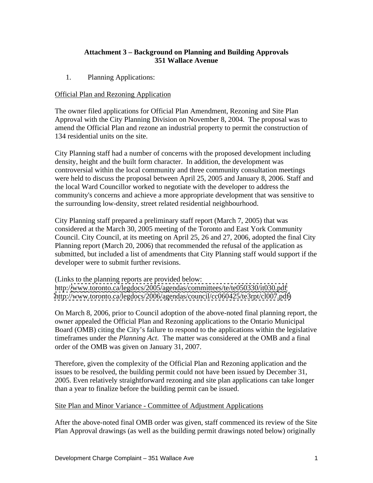## **Attachment 3 – Background on Planning and Building Approvals 351 Wallace Avenue**

1. Planning Applications:

## Official Plan and Rezoning Application

The owner filed applications for Official Plan Amendment, Rezoning and Site Plan Approval with the City Planning Division on November 8, 2004. The proposal was to amend the Official Plan and rezone an industrial property to permit the construction of 134 residential units on the site. City Planning staff had a number of concerns with the proposed development including

density, height and the built form character. In addition, the development was controversial within the local community and three community consultation meetings were held to discuss the proposal between April 25, 2005 and January 8, 2006. Staff and the local Ward Councillor worked to negotiate with the developer to address the community's concerns and achieve a more appropriate development that was sensitive to the surrounding low-density, street related residential neighbourhood.

City Planning staff prepared a preliminary staff report (March 7, 2005) that was considered at the March 30, 2005 meeting of the Toronto and East York Community Council. City Council, at its meeting on April 25, 26 and 27, 2006, adopted the final City Planning report (March 20, 2006) that recommended the refusal of the application as submitted, but included a list of amendments that City Planning staff would support if the developer were to submit further revisions.

(Links to the planning reports are provided below: http:/[/www.toronto.ca/legdocs/2005/agendas/committees/te/te050330/it030.pdf](http://www.toronto.ca/legdocs/2005/agendas/committees/te/te050330/it030.pdf) [http://www.toronto.ca/legdocs/2006/agendas/council/cc060425/te3rpt/cl007.pdf\)](http://www.toronto.ca/legdocs/2006/agendas/council/cc060425/te3rpt/cl007.pdf)

On March 8, 2006, prior to Council adoption of the above-noted final planning report, the owner appealed the Official Plan and Rezoning applications to the Ontario Municipal Board (OMB) citing the City's failure to respond to the applications within the legislative timeframes under the *Planning Act*. The matter was considered at the OMB and a final order of the OMB was given on January 31, 2007.

Therefore, given the complexity of the Official Plan and Rezoning application and the issues to be resolved, the building permit could not have been issued by December 31, 2005. Even relatively straightforward rezoning and site plan applications can take longer than a year to finalize before the building permit can be issued.

## Site Plan and Minor Variance - Committee of Adjustment Applications

After the above-noted final OMB order was given, staff commenced its review of the Site Plan Approval drawings (as well as the building permit drawings noted below) originally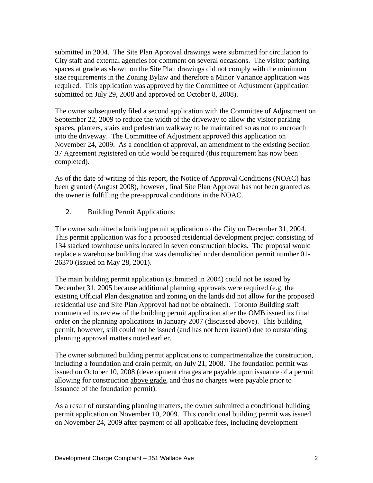submitted in 2004. The Site Plan Approval drawings were submitted for circulation to City staff and external agencies for comment on several occasions. The visitor parking spaces at grade as shown on the Site Plan drawings did not comply with the minimum size requirements in the Zoning Bylaw and therefore a Minor Variance application was required. This application was approved by the Committee of Adjustment (application submitted on July 29, 2008 and approved on October 8, 2008).

The owner subsequently filed a second application with the Committee of Adjustment on September 22, 2009 to reduce the width of the driveway to allow the visitor parking spaces, planters, stairs and pedestrian walkway to be maintained so as not to encroach into the driveway. The Committee of Adjustment approved this application on November 24, 2009. As a condition of approval, an amendment to the existing Section 37 Agreement registered on title would be required (this requirement has now been completed).

As of the date of writing of this report, the Notice of Approval Conditions (NOAC) has been granted (August 2008), however, final Site Plan Approval has not been granted as the owner is fulfilling the pre-approval conditions in the NOAC.

2. Building Permit Applications:

The owner submitted a building permit application to the City on December 31, 2004. This permit application was for a proposed residential development project consisting of 134 stacked townhouse units located in seven construction blocks. The proposal would replace a warehouse building that was demolished under demolition permit number 01- 26370 (issued on May 28, 2001).

The main building permit application (submitted in 2004) could not be issued by December 31, 2005 because additional planning approvals were required (e.g. the existing Official Plan designation and zoning on the lands did not allow for the proposed residential use and Site Plan Approval had not be obtained). Toronto Building staff commenced its review of the building permit application after the OMB issued its final order on the planning applications in January 2007 (discussed above). This building permit, however, still could not be issued (and has not been issued) due to outstanding

planning approval matters noted earlier.<br>The owner submitted building permit applications to compartmentalize the construction, including a foundation and drain permit, on July 21, 2008. The foundation permit was issued on October 10, 2008 (development charges are payable upon issuance of a permit allowing for construction above grade, and thus no charges were payable prior to issuance of the foundation permit).

As a result of outstanding planning matters, the owner submitted a conditional building permit application on November 10, 2009. This conditional building permit was issued on November 24, 2009 after payment of all applicable fees, including development